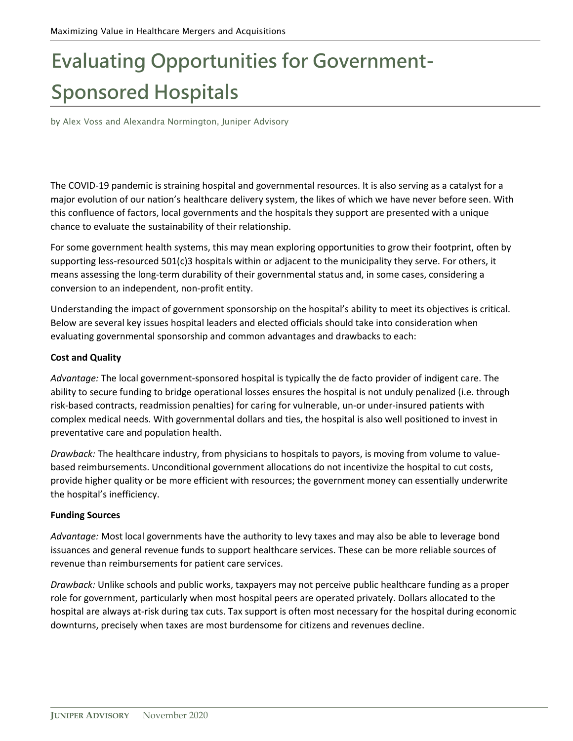# **Evaluating Opportunities for Government-Sponsored Hospitals**

by Alex Voss and Alexandra Normington, Juniper Advisory

The COVID-19 pandemic is straining hospital and governmental resources. It is also serving as a catalyst for a major evolution of our nation's healthcare delivery system, the likes of which we have never before seen. With this confluence of factors, local governments and the hospitals they support are presented with a unique chance to evaluate the sustainability of their relationship.

For some government health systems, this may mean exploring opportunities to grow their footprint, often by supporting less-resourced 501(c)3 hospitals within or adjacent to the municipality they serve. For others, it means assessing the long-term durability of their governmental status and, in some cases, considering a conversion to an independent, non-profit entity.

Understanding the impact of government sponsorship on the hospital's ability to meet its objectives is critical. Below are several key issues hospital leaders and elected officials should take into consideration when evaluating governmental sponsorship and common advantages and drawbacks to each:

#### **Cost and Quality**

*Advantage:* The local government-sponsored hospital is typically the de facto provider of indigent care. The ability to secure funding to bridge operational losses ensures the hospital is not unduly penalized (i.e. through risk-based contracts, readmission penalties) for caring for vulnerable, un-or under-insured patients with complex medical needs. With governmental dollars and ties, the hospital is also well positioned to invest in preventative care and population health.

*Drawback:* The healthcare industry, from physicians to hospitals to payors, is moving from volume to valuebased reimbursements. Unconditional government allocations do not incentivize the hospital to cut costs, provide higher quality or be more efficient with resources; the government money can essentially underwrite the hospital's inefficiency.

#### **Funding Sources**

*Advantage:* Most local governments have the authority to levy taxes and may also be able to leverage bond issuances and general revenue funds to support healthcare services. These can be more reliable sources of revenue than reimbursements for patient care services.

*Drawback:* Unlike schools and public works, taxpayers may not perceive public healthcare funding as a proper role for government, particularly when most hospital peers are operated privately. Dollars allocated to the hospital are always at-risk during tax cuts. Tax support is often most necessary for the hospital during economic downturns, precisely when taxes are most burdensome for citizens and revenues decline.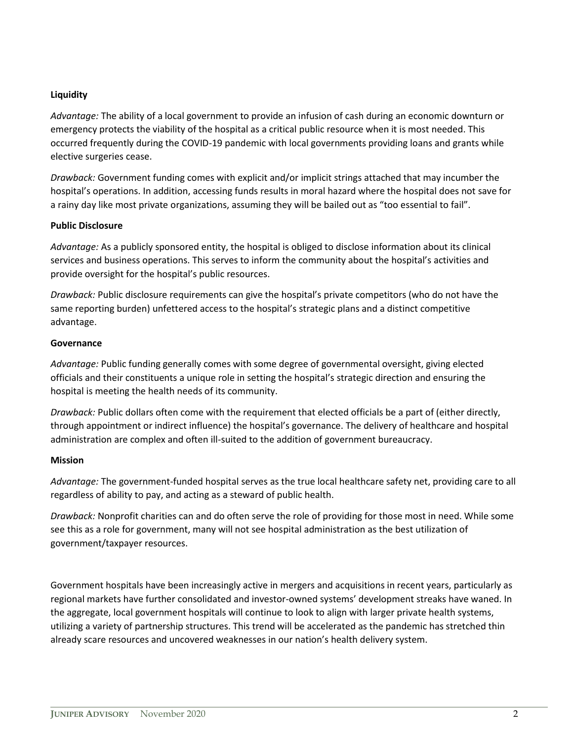### **Liquidity**

*Advantage:* The ability of a local government to provide an infusion of cash during an economic downturn or emergency protects the viability of the hospital as a critical public resource when it is most needed. This occurred frequently during the COVID-19 pandemic with local governments providing loans and grants while elective surgeries cease.

*Drawback:* Government funding comes with explicit and/or implicit strings attached that may incumber the hospital's operations. In addition, accessing funds results in moral hazard where the hospital does not save for a rainy day like most private organizations, assuming they will be bailed out as "too essential to fail".

### **Public Disclosure**

*Advantage:* As a publicly sponsored entity, the hospital is obliged to disclose information about its clinical services and business operations. This serves to inform the community about the hospital's activities and provide oversight for the hospital's public resources.

*Drawback:* Public disclosure requirements can give the hospital's private competitors (who do not have the same reporting burden) unfettered access to the hospital's strategic plans and a distinct competitive advantage.

### **Governance**

*Advantage:* Public funding generally comes with some degree of governmental oversight, giving elected officials and their constituents a unique role in setting the hospital's strategic direction and ensuring the hospital is meeting the health needs of its community.

*Drawback:* Public dollars often come with the requirement that elected officials be a part of (either directly, through appointment or indirect influence) the hospital's governance. The delivery of healthcare and hospital administration are complex and often ill-suited to the addition of government bureaucracy.

## **Mission**

*Advantage:* The government-funded hospital serves as the true local healthcare safety net, providing care to all regardless of ability to pay, and acting as a steward of public health.

*Drawback:* Nonprofit charities can and do often serve the role of providing for those most in need. While some see this as a role for government, many will not see hospital administration as the best utilization of government/taxpayer resources.

Government hospitals have been increasingly active in mergers and acquisitions in recent years, particularly as regional markets have further consolidated and investor-owned systems' development streaks have waned. In the aggregate, local government hospitals will continue to look to align with larger private health systems, utilizing a variety of partnership structures. This trend will be accelerated as the pandemic has stretched thin already scare resources and uncovered weaknesses in our nation's health delivery system.